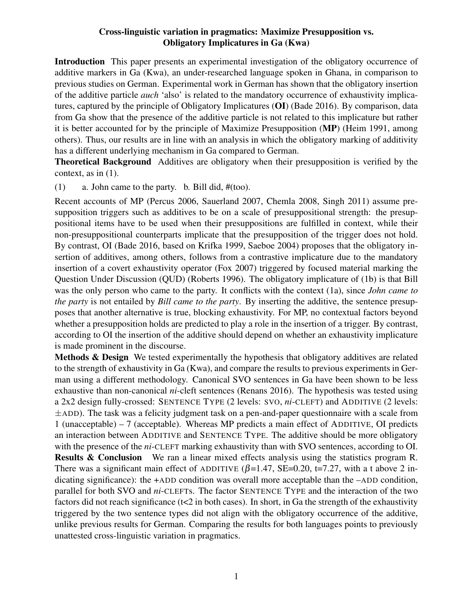## Cross-linguistic variation in pragmatics: Maximize Presupposition vs. Obligatory Implicatures in Ga (Kwa)

Introduction This paper presents an experimental investigation of the obligatory occurrence of additive markers in Ga (Kwa), an under-researched language spoken in Ghana, in comparison to previous studies on German. Experimental work in German has shown that the obligatory insertion of the additive particle *auch* 'also' is related to the mandatory occurrence of exhaustivity implicatures, captured by the principle of Obligatory Implicatures (OI) (Bade 2016). By comparison, data from Ga show that the presence of the additive particle is not related to this implicature but rather it is better accounted for by the principle of Maximize Presupposition (MP) (Heim 1991, among others). Thus, our results are in line with an analysis in which the obligatory marking of additivity has a different underlying mechanism in Ga compared to German.

Theoretical Background Additives are obligatory when their presupposition is verified by the context, as in (1).

(1) a. John came to the party. b. Bill did,  $# (1)$ .

Recent accounts of MP (Percus 2006, Sauerland 2007, Chemla 2008, Singh 2011) assume presupposition triggers such as additives to be on a scale of presuppositional strength: the presuppositional items have to be used when their presuppositions are fulfilled in context, while their non-presuppositional counterparts implicate that the presupposition of the trigger does not hold. By contrast, OI (Bade 2016, based on Krifka 1999, Saeboe 2004) proposes that the obligatory insertion of additives, among others, follows from a contrastive implicature due to the mandatory insertion of a covert exhaustivity operator (Fox 2007) triggered by focused material marking the Question Under Discussion (QUD) (Roberts 1996). The obligatory implicature of (1b) is that Bill was the only person who came to the party. It conflicts with the context (1a), since *John came to the party* is not entailed by *Bill came to the party*. By inserting the additive, the sentence presupposes that another alternative is true, blocking exhaustivity. For MP, no contextual factors beyond whether a presupposition holds are predicted to play a role in the insertion of a trigger. By contrast, according to OI the insertion of the additive should depend on whether an exhaustivity implicature is made prominent in the discourse.

Methods & Design We tested experimentally the hypothesis that obligatory additives are related to the strength of exhaustivity in Ga (Kwa), and compare the results to previous experiments in German using a different methodology. Canonical SVO sentences in Ga have been shown to be less exhaustive than non-canonical *ni*-cleft sentences (Renans 2016). The hypothesis was tested using a 2x2 design fully-crossed: SENTENCE TYPE (2 levels: SVO, *ni*-CLEFT) and ADDITIVE (2 levels:  $\pm$ ADD). The task was a felicity judgment task on a pen-and-paper questionnaire with a scale from 1 (unacceptable) – 7 (acceptable). Whereas MP predicts a main effect of ADDITIVE, OI predicts an interaction between ADDITIVE and SENTENCE TYPE. The additive should be more obligatory with the presence of the *ni*-CLEFT marking exhaustivity than with SVO sentences, according to OI. Results & Conclusion We ran a linear mixed effects analysis using the statistics program R. There was a significant main effect of ADDITIVE ( $\beta$ =1.47, SE=0.20, t=7.27, with a t above 2 indicating significance): the +ADD condition was overall more acceptable than the –ADD condition, parallel for both SVO and *ni*-CLEFTs. The factor SENTENCE TYPE and the interaction of the two factors did not reach significance ( $t<2$  in both cases). In short, in Ga the strength of the exhaustivity triggered by the two sentence types did not align with the obligatory occurrence of the additive, unlike previous results for German. Comparing the results for both languages points to previously unattested cross-linguistic variation in pragmatics.